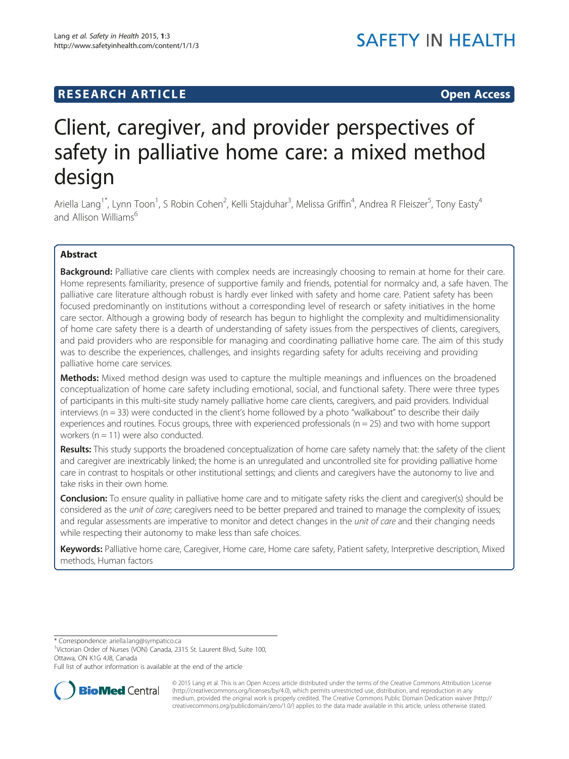## **RESEARCH ARTICLE Example 2018 12:00 THE Open Access**

# Client, caregiver, and provider perspectives of safety in palliative home care: a mixed method design

Ariella Lang<sup>1\*</sup>, Lynn Toon<sup>1</sup>, S Robin Cohen<sup>2</sup>, Kelli Stajduhar<sup>3</sup>, Melissa Griffin<sup>4</sup>, Andrea R Fleiszer<sup>5</sup>, Tony Easty<sup>4</sup> and Allison Williams<sup>6</sup>

## Abstract

Background: Palliative care clients with complex needs are increasingly choosing to remain at home for their care. Home represents familiarity, presence of supportive family and friends, potential for normalcy and, a safe haven. The palliative care literature although robust is hardly ever linked with safety and home care. Patient safety has been focused predominantly on institutions without a corresponding level of research or safety initiatives in the home care sector. Although a growing body of research has begun to highlight the complexity and multidimensionality of home care safety there is a dearth of understanding of safety issues from the perspectives of clients, caregivers, and paid providers who are responsible for managing and coordinating palliative home care. The aim of this study was to describe the experiences, challenges, and insights regarding safety for adults receiving and providing palliative home care services.

**Methods:** Mixed method design was used to capture the multiple meanings and influences on the broadened conceptualization of home care safety including emotional, social, and functional safety. There were three types of participants in this multi-site study namely palliative home care clients, caregivers, and paid providers. Individual interviews (n = 33) were conducted in the client's home followed by a photo "walkabout" to describe their daily experiences and routines. Focus groups, three with experienced professionals ( $n = 25$ ) and two with home support workers ( $n = 11$ ) were also conducted.

Results: This study supports the broadened conceptualization of home care safety namely that: the safety of the client and caregiver are inextricably linked; the home is an unregulated and uncontrolled site for providing palliative home care in contrast to hospitals or other institutional settings; and clients and caregivers have the autonomy to live and take risks in their own home.

**Conclusion:** To ensure quality in palliative home care and to mitigate safety risks the client and caregiver(s) should be considered as the unit of care; caregivers need to be better prepared and trained to manage the complexity of issues; and regular assessments are imperative to monitor and detect changes in the unit of care and their changing needs while respecting their autonomy to make less than safe choices.

Keywords: Palliative home care, Caregiver, Home care, Home care safety, Patient safety, Interpretive description, Mixed methods, Human factors

\* Correspondence: [ariella.lang@sympatico.ca](mailto:ariella.lang@sympatico.ca) <sup>1</sup>

<sup>1</sup>Victorian Order of Nurses (VON) Canada, 2315 St. Laurent Blvd, Suite 100, Ottawa, ON K1G 4J8, Canada

Full list of author information is available at the end of the article



© 2015 Lang et al. This is an Open Access article distributed under the terms of the Creative Commons Attribution License [\(http://creativecommons.org/licenses/by/4.0\)](http://creativecommons.org/licenses/by/4.0), which permits unrestricted use, distribution, and reproduction in any medium, provided the original work is properly credited. The Creative Commons Public Domain Dedication waiver ([http://](http://creativecommons.org/publicdomain/zero/1.0/) [creativecommons.org/publicdomain/zero/1.0/](http://creativecommons.org/publicdomain/zero/1.0/)) applies to the data made available in this article, unless otherwise stated.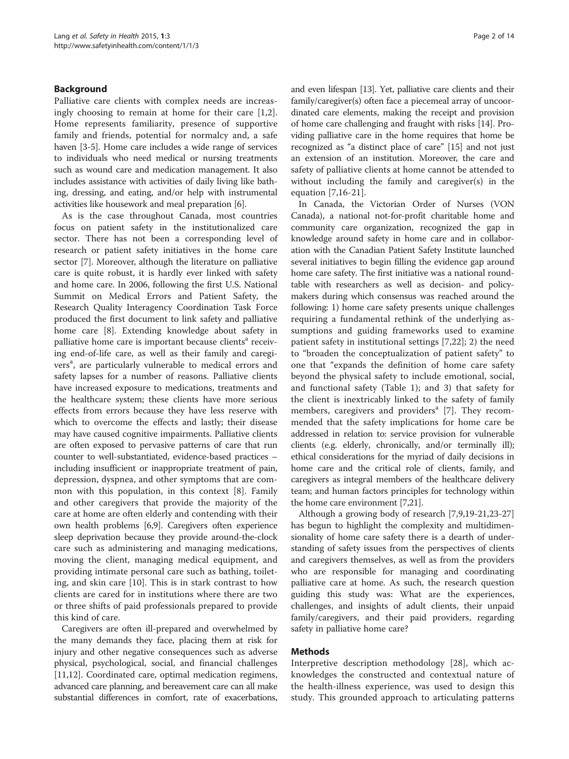## Background

Palliative care clients with complex needs are increasingly choosing to remain at home for their care [[1,2](#page-12-0)]. Home represents familiarity, presence of supportive family and friends, potential for normalcy and, a safe haven [[3-5\]](#page-12-0). Home care includes a wide range of services to individuals who need medical or nursing treatments such as wound care and medication management. It also includes assistance with activities of daily living like bathing, dressing, and eating, and/or help with instrumental activities like housework and meal preparation [\[6](#page-12-0)].

As is the case throughout Canada, most countries focus on patient safety in the institutionalized care sector. There has not been a corresponding level of research or patient safety initiatives in the home care sector [[7](#page-12-0)]. Moreover, although the literature on palliative care is quite robust, it is hardly ever linked with safety and home care. In 2006, following the first U.S. National Summit on Medical Errors and Patient Safety, the Research Quality Interagency Coordination Task Force produced the first document to link safety and palliative home care [[8\]](#page-12-0). Extending knowledge about safety in palliative home care is important because clients<sup>a</sup> receiving end-of-life care, as well as their family and caregivers<sup>a</sup>, are particularly vulnerable to medical errors and safety lapses for a number of reasons. Palliative clients have increased exposure to medications, treatments and the healthcare system; these clients have more serious effects from errors because they have less reserve with which to overcome the effects and lastly; their disease may have caused cognitive impairments. Palliative clients are often exposed to pervasive patterns of care that run counter to well-substantiated, evidence-based practices – including insufficient or inappropriate treatment of pain, depression, dyspnea, and other symptoms that are common with this population, in this context [[8\]](#page-12-0). Family and other caregivers that provide the majority of the care at home are often elderly and contending with their own health problems [[6](#page-12-0),[9](#page-12-0)]. Caregivers often experience sleep deprivation because they provide around-the-clock care such as administering and managing medications, moving the client, managing medical equipment, and providing intimate personal care such as bathing, toileting, and skin care [\[10](#page-13-0)]. This is in stark contrast to how clients are cared for in institutions where there are two or three shifts of paid professionals prepared to provide this kind of care.

Caregivers are often ill-prepared and overwhelmed by the many demands they face, placing them at risk for injury and other negative consequences such as adverse physical, psychological, social, and financial challenges [[11,12\]](#page-13-0). Coordinated care, optimal medication regimens, advanced care planning, and bereavement care can all make substantial differences in comfort, rate of exacerbations,

and even lifespan [[13](#page-13-0)]. Yet, palliative care clients and their family/caregiver(s) often face a piecemeal array of uncoordinated care elements, making the receipt and provision of home care challenging and fraught with risks [\[14\]](#page-13-0). Providing palliative care in the home requires that home be recognized as "a distinct place of care" [[15](#page-13-0)] and not just an extension of an institution. Moreover, the care and safety of palliative clients at home cannot be attended to without including the family and caregiver(s) in the equation [[7](#page-12-0)[,16](#page-13-0)-[21\]](#page-13-0).

In Canada, the Victorian Order of Nurses (VON Canada), a national not-for-profit charitable home and community care organization, recognized the gap in knowledge around safety in home care and in collaboration with the Canadian Patient Safety Institute launched several initiatives to begin filling the evidence gap around home care safety. The first initiative was a national roundtable with researchers as well as decision- and policymakers during which consensus was reached around the following: 1) home care safety presents unique challenges requiring a fundamental rethink of the underlying assumptions and guiding frameworks used to examine patient safety in institutional settings [[7,](#page-12-0)[22](#page-13-0)]; 2) the need to "broaden the conceptualization of patient safety" to one that "expands the definition of home care safety beyond the physical safety to include emotional, social, and functional safety (Table [1\)](#page-2-0); and 3) that safety for the client is inextricably linked to the safety of family members, caregivers and providers<sup>a</sup> [\[7](#page-12-0)]. They recommended that the safety implications for home care be addressed in relation to: service provision for vulnerable clients (e.g. elderly, chronically, and/or terminally ill); ethical considerations for the myriad of daily decisions in home care and the critical role of clients, family, and caregivers as integral members of the healthcare delivery team; and human factors principles for technology within the home care environment [[7](#page-12-0)[,21](#page-13-0)].

Although a growing body of research [[7,9,](#page-12-0)[19-21,23](#page-13-0)-[27](#page-13-0)] has begun to highlight the complexity and multidimensionality of home care safety there is a dearth of understanding of safety issues from the perspectives of clients and caregivers themselves, as well as from the providers who are responsible for managing and coordinating palliative care at home. As such, the research question guiding this study was: What are the experiences, challenges, and insights of adult clients, their unpaid family/caregivers, and their paid providers, regarding safety in palliative home care?

#### Methods

Interpretive description methodology [[28](#page-13-0)], which acknowledges the constructed and contextual nature of the health-illness experience, was used to design this study. This grounded approach to articulating patterns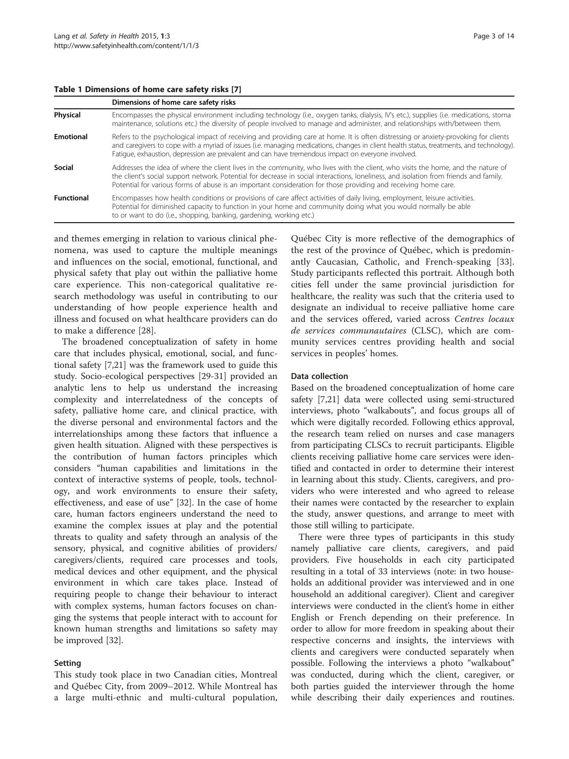<span id="page-2-0"></span>

| Table 1 Dimensions of home care safety risks [7] |  |  |  |  |
|--------------------------------------------------|--|--|--|--|
|--------------------------------------------------|--|--|--|--|

|                   | Dimensions of home care safety risks                                                                                                                                                                                                                                                                                                                                                          |  |  |
|-------------------|-----------------------------------------------------------------------------------------------------------------------------------------------------------------------------------------------------------------------------------------------------------------------------------------------------------------------------------------------------------------------------------------------|--|--|
| Physical          | Encompasses the physical environment including technology (i.e., oxygen tanks, dialysis, IV's etc.), supplies (i.e. medications, stoma<br>maintenance, solutions etc.) the diversity of people involved to manage and administer, and relationships with/between them.                                                                                                                        |  |  |
| <b>Emotional</b>  | Refers to the psychological impact of receiving and providing care at home. It is often distressing or anxiety-provoking for clients<br>and caregivers to cope with a myriad of issues (i.e. managing medications, changes in client health status, treatments, and technology).<br>Fatique, exhaustion, depression are prevalent and can have tremendous impact on everyone involved.        |  |  |
| Social            | Addresses the idea of where the client lives in the community, who lives with the client, who visits the home, and the nature of<br>the client's social support network. Potential for decrease in social interactions, loneliness, and isolation from friends and family.<br>Potential for various forms of abuse is an important consideration for those providing and receiving home care. |  |  |
| <b>Functional</b> | Encompasses how health conditions or provisions of care affect activities of daily living, employment, leisure activities.<br>Potential for diminished capacity to function in your home and community doing what you would normally be able<br>to or want to do (i.e., shopping, banking, gardening, working etc.)                                                                           |  |  |

and themes emerging in relation to various clinical phenomena, was used to capture the multiple meanings and influences on the social, emotional, functional, and physical safety that play out within the palliative home care experience. This non-categorical qualitative research methodology was useful in contributing to our understanding of how people experience health and illness and focused on what healthcare providers can do to make a difference [[28](#page-13-0)].

The broadened conceptualization of safety in home care that includes physical, emotional, social, and functional safety [\[7](#page-12-0)[,21](#page-13-0)] was the framework used to guide this study. Socio-ecological perspectives [[29-31](#page-13-0)] provided an analytic lens to help us understand the increasing complexity and interrelatedness of the concepts of safety, palliative home care, and clinical practice, with the diverse personal and environmental factors and the interrelationships among these factors that influence a given health situation. Aligned with these perspectives is the contribution of human factors principles which considers "human capabilities and limitations in the context of interactive systems of people, tools, technology, and work environments to ensure their safety, effectiveness, and ease of use" [[32\]](#page-13-0). In the case of home care, human factors engineers understand the need to examine the complex issues at play and the potential threats to quality and safety through an analysis of the sensory, physical, and cognitive abilities of providers/ caregivers/clients, required care processes and tools, medical devices and other equipment, and the physical environment in which care takes place. Instead of requiring people to change their behaviour to interact with complex systems, human factors focuses on changing the systems that people interact with to account for known human strengths and limitations so safety may be improved [\[32\]](#page-13-0).

## Setting

This study took place in two Canadian cities, Montreal and Québec City, from 2009–2012. While Montreal has a large multi-ethnic and multi-cultural population,

Québec City is more reflective of the demographics of the rest of the province of Québec, which is predominantly Caucasian, Catholic, and French-speaking [\[33](#page-13-0)]. Study participants reflected this portrait. Although both cities fell under the same provincial jurisdiction for healthcare, the reality was such that the criteria used to designate an individual to receive palliative home care and the services offered, varied across Centres locaux de services communautaires (CLSC), which are community services centres providing health and social services in peoples' homes.

#### Data collection

Based on the broadened conceptualization of home care safety [[7,](#page-12-0)[21\]](#page-13-0) data were collected using semi-structured interviews, photo "walkabouts", and focus groups all of which were digitally recorded. Following ethics approval, the research team relied on nurses and case managers from participating CLSCs to recruit participants. Eligible clients receiving palliative home care services were identified and contacted in order to determine their interest in learning about this study. Clients, caregivers, and providers who were interested and who agreed to release their names were contacted by the researcher to explain the study, answer questions, and arrange to meet with those still willing to participate.

There were three types of participants in this study namely palliative care clients, caregivers, and paid providers. Five households in each city participated resulting in a total of 33 interviews (note: in two households an additional provider was interviewed and in one household an additional caregiver). Client and caregiver interviews were conducted in the client's home in either English or French depending on their preference. In order to allow for more freedom in speaking about their respective concerns and insights, the interviews with clients and caregivers were conducted separately when possible. Following the interviews a photo "walkabout" was conducted, during which the client, caregiver, or both parties guided the interviewer through the home while describing their daily experiences and routines.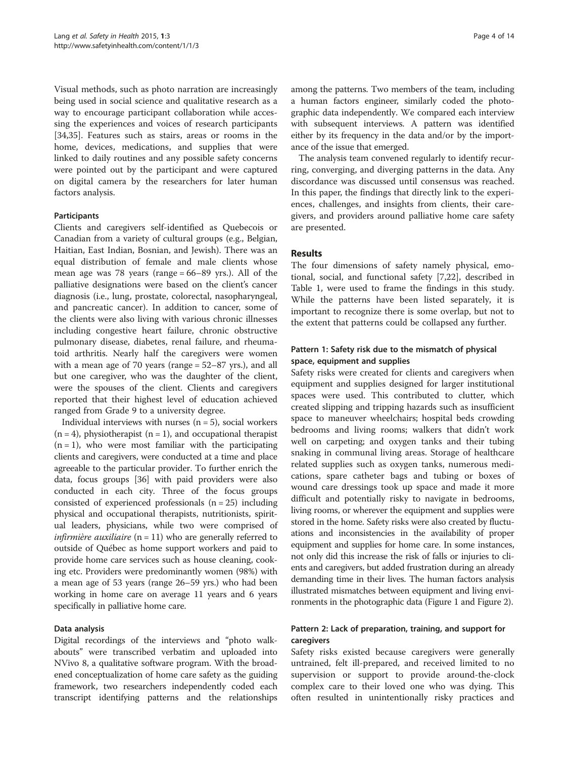Visual methods, such as photo narration are increasingly being used in social science and qualitative research as a way to encourage participant collaboration while accessing the experiences and voices of research participants [[34,35\]](#page-13-0). Features such as stairs, areas or rooms in the home, devices, medications, and supplies that were linked to daily routines and any possible safety concerns were pointed out by the participant and were captured on digital camera by the researchers for later human factors analysis.

#### Participants

Clients and caregivers self-identified as Quebecois or Canadian from a variety of cultural groups (e.g., Belgian, Haitian, East Indian, Bosnian, and Jewish). There was an equal distribution of female and male clients whose mean age was 78 years (range  $= 66-89$  yrs.). All of the palliative designations were based on the client's cancer diagnosis (i.e., lung, prostate, colorectal, nasopharyngeal, and pancreatic cancer). In addition to cancer, some of the clients were also living with various chronic illnesses including congestive heart failure, chronic obstructive pulmonary disease, diabetes, renal failure, and rheumatoid arthritis. Nearly half the caregivers were women with a mean age of 70 years (range = 52–87 yrs.), and all but one caregiver, who was the daughter of the client, were the spouses of the client. Clients and caregivers reported that their highest level of education achieved ranged from Grade 9 to a university degree.

Individual interviews with nurses  $(n = 5)$ , social workers  $(n = 4)$ , physiotherapist  $(n = 1)$ , and occupational therapist  $(n = 1)$ , who were most familiar with the participating clients and caregivers, were conducted at a time and place agreeable to the particular provider. To further enrich the data, focus groups [[36](#page-13-0)] with paid providers were also conducted in each city. Three of the focus groups consisted of experienced professionals  $(n = 25)$  including physical and occupational therapists, nutritionists, spiritual leaders, physicians, while two were comprised of *infirmière auxiliaire* ( $n = 11$ ) who are generally referred to outside of Québec as home support workers and paid to provide home care services such as house cleaning, cooking etc. Providers were predominantly women (98%) with a mean age of 53 years (range 26–59 yrs.) who had been working in home care on average 11 years and 6 years specifically in palliative home care.

#### Data analysis

Digital recordings of the interviews and "photo walkabouts" were transcribed verbatim and uploaded into NVivo 8, a qualitative software program. With the broadened conceptualization of home care safety as the guiding framework, two researchers independently coded each transcript identifying patterns and the relationships

among the patterns. Two members of the team, including a human factors engineer, similarly coded the photographic data independently. We compared each interview with subsequent interviews. A pattern was identified either by its frequency in the data and/or by the importance of the issue that emerged.

The analysis team convened regularly to identify recurring, converging, and diverging patterns in the data. Any discordance was discussed until consensus was reached. In this paper, the findings that directly link to the experiences, challenges, and insights from clients, their caregivers, and providers around palliative home care safety are presented.

## **Results**

The four dimensions of safety namely physical, emotional, social, and functional safety [\[7](#page-12-0)[,22](#page-13-0)], described in Table [1,](#page-2-0) were used to frame the findings in this study. While the patterns have been listed separately, it is important to recognize there is some overlap, but not to the extent that patterns could be collapsed any further.

## Pattern 1: Safety risk due to the mismatch of physical space, equipment and supplies

Safety risks were created for clients and caregivers when equipment and supplies designed for larger institutional spaces were used. This contributed to clutter, which created slipping and tripping hazards such as insufficient space to maneuver wheelchairs; hospital beds crowding bedrooms and living rooms; walkers that didn't work well on carpeting; and oxygen tanks and their tubing snaking in communal living areas. Storage of healthcare related supplies such as oxygen tanks, numerous medications, spare catheter bags and tubing or boxes of wound care dressings took up space and made it more difficult and potentially risky to navigate in bedrooms, living rooms, or wherever the equipment and supplies were stored in the home. Safety risks were also created by fluctuations and inconsistencies in the availability of proper equipment and supplies for home care. In some instances, not only did this increase the risk of falls or injuries to clients and caregivers, but added frustration during an already demanding time in their lives. The human factors analysis illustrated mismatches between equipment and living environments in the photographic data (Figure [1](#page-4-0) and Figure [2](#page-5-0)).

## Pattern 2: Lack of preparation, training, and support for caregivers

Safety risks existed because caregivers were generally untrained, felt ill-prepared, and received limited to no supervision or support to provide around-the-clock complex care to their loved one who was dying. This often resulted in unintentionally risky practices and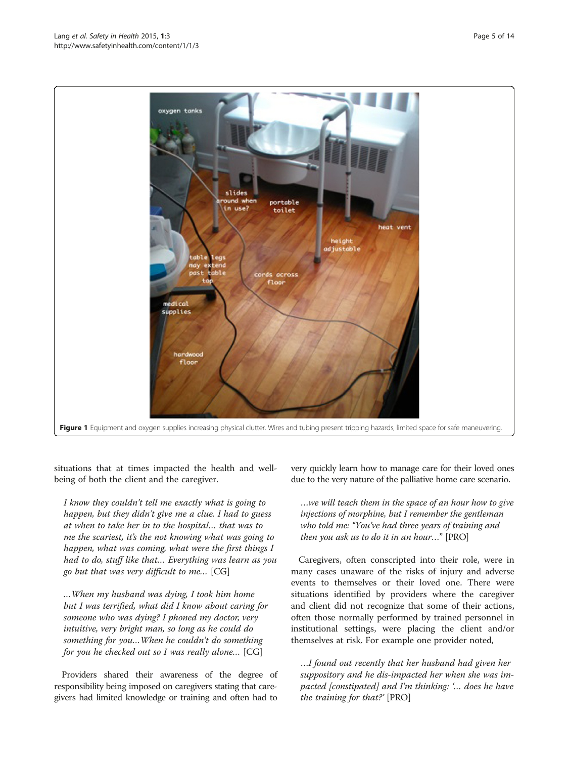situations that at times impacted the health and wellbeing of both the client and the caregiver.

I know they couldn't tell me exactly what is going to happen, but they didn't give me a clue. I had to guess at when to take her in to the hospital… that was to me the scariest, it's the not knowing what was going to happen, what was coming, what were the first things I had to do, stuff like that… Everything was learn as you go but that was very difficult to me… [CG]

…When my husband was dying, I took him home but I was terrified, what did I know about caring for someone who was dying? I phoned my doctor, very intuitive, very bright man, so long as he could do something for you…When he couldn't do something for you he checked out so I was really alone… [CG]

Providers shared their awareness of the degree of responsibility being imposed on caregivers stating that caregivers had limited knowledge or training and often had to very quickly learn how to manage care for their loved ones due to the very nature of the palliative home care scenario.

…we will teach them in the space of an hour how to give injections of morphine, but I remember the gentleman who told me: "You've had three years of training and then you ask us to do it in an hour…" [PRO]

Caregivers, often conscripted into their role, were in many cases unaware of the risks of injury and adverse events to themselves or their loved one. There were situations identified by providers where the caregiver and client did not recognize that some of their actions, often those normally performed by trained personnel in institutional settings, were placing the client and/or themselves at risk. For example one provider noted,

…I found out recently that her husband had given her suppository and he dis-impacted her when she was impacted [constipated] and I'm thinking: '… does he have the training for that?' [PRO]

<span id="page-4-0"></span>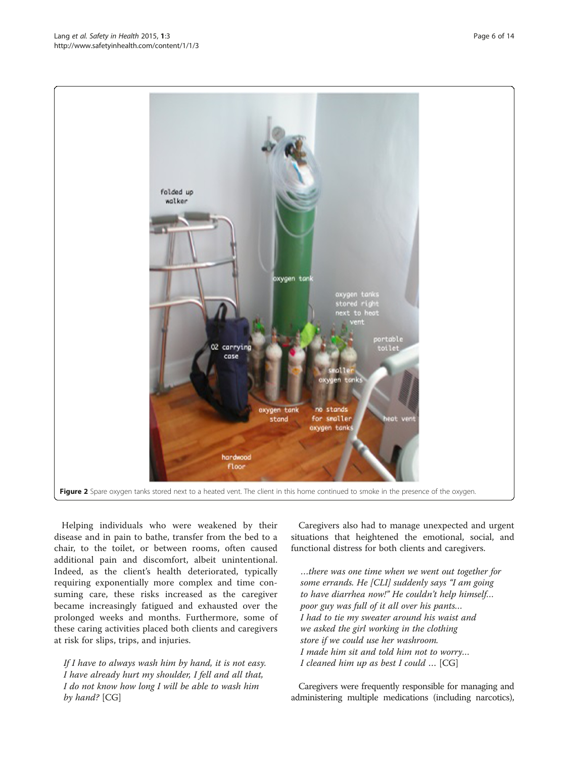Helping individuals who were weakened by their disease and in pain to bathe, transfer from the bed to a chair, to the toilet, or between rooms, often caused additional pain and discomfort, albeit unintentional. Indeed, as the client's health deteriorated, typically requiring exponentially more complex and time consuming care, these risks increased as the caregiver became increasingly fatigued and exhausted over the prolonged weeks and months. Furthermore, some of these caring activities placed both clients and caregivers at risk for slips, trips, and injuries.

If I have to always wash him by hand, it is not easy. I have already hurt my shoulder, I fell and all that, I do not know how long I will be able to wash him by hand? [CG]

Caregivers also had to manage unexpected and urgent situations that heightened the emotional, social, and functional distress for both clients and caregivers.

…there was one time when we went out together for some errands. He [CLI] suddenly says "I am going to have diarrhea now!" He couldn't help himself… poor guy was full of it all over his pants… I had to tie my sweater around his waist and we asked the girl working in the clothing store if we could use her washroom. I made him sit and told him not to worry… I cleaned him up as best I could … [CG]

Caregivers were frequently responsible for managing and administering multiple medications (including narcotics),

<span id="page-5-0"></span>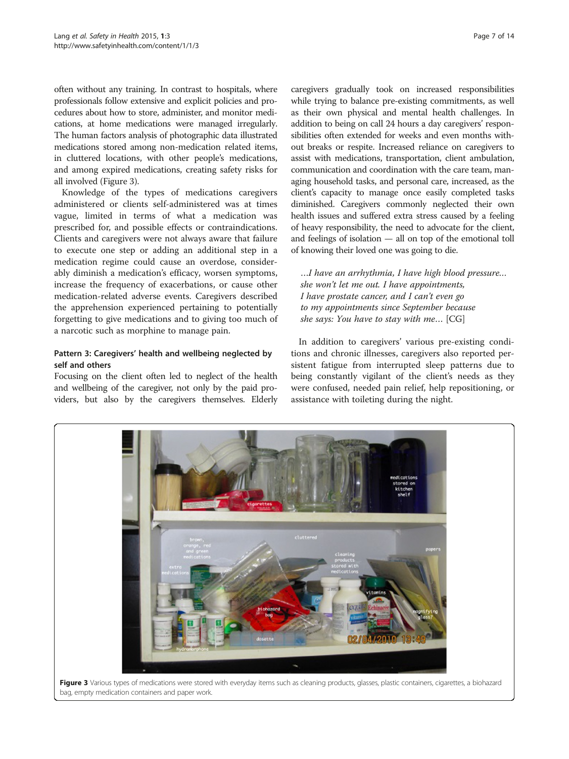often without any training. In contrast to hospitals, where professionals follow extensive and explicit policies and procedures about how to store, administer, and monitor medications, at home medications were managed irregularly. The human factors analysis of photographic data illustrated medications stored among non-medication related items, in cluttered locations, with other people's medications, and among expired medications, creating safety risks for all involved (Figure 3).

Knowledge of the types of medications caregivers administered or clients self-administered was at times vague, limited in terms of what a medication was prescribed for, and possible effects or contraindications. Clients and caregivers were not always aware that failure to execute one step or adding an additional step in a medication regime could cause an overdose, considerably diminish a medication's efficacy, worsen symptoms, increase the frequency of exacerbations, or cause other medication-related adverse events. Caregivers described the apprehension experienced pertaining to potentially forgetting to give medications and to giving too much of a narcotic such as morphine to manage pain.

## Pattern 3: Caregivers' health and wellbeing neglected by self and others

Focusing on the client often led to neglect of the health and wellbeing of the caregiver, not only by the paid providers, but also by the caregivers themselves. Elderly

caregivers gradually took on increased responsibilities while trying to balance pre-existing commitments, as well as their own physical and mental health challenges. In addition to being on call 24 hours a day caregivers' responsibilities often extended for weeks and even months without breaks or respite. Increased reliance on caregivers to assist with medications, transportation, client ambulation, communication and coordination with the care team, managing household tasks, and personal care, increased, as the client's capacity to manage once easily completed tasks diminished. Caregivers commonly neglected their own health issues and suffered extra stress caused by a feeling of heavy responsibility, the need to advocate for the client, and feelings of isolation — all on top of the emotional toll of knowing their loved one was going to die.

…I have an arrhythmia, I have high blood pressure… she won't let me out. I have appointments, I have prostate cancer, and I can't even go to my appointments since September because she says: You have to stay with me… [CG]

In addition to caregivers' various pre-existing conditions and chronic illnesses, caregivers also reported persistent fatigue from interrupted sleep patterns due to being constantly vigilant of the client's needs as they were confused, needed pain relief, help repositioning, or assistance with toileting during the night.

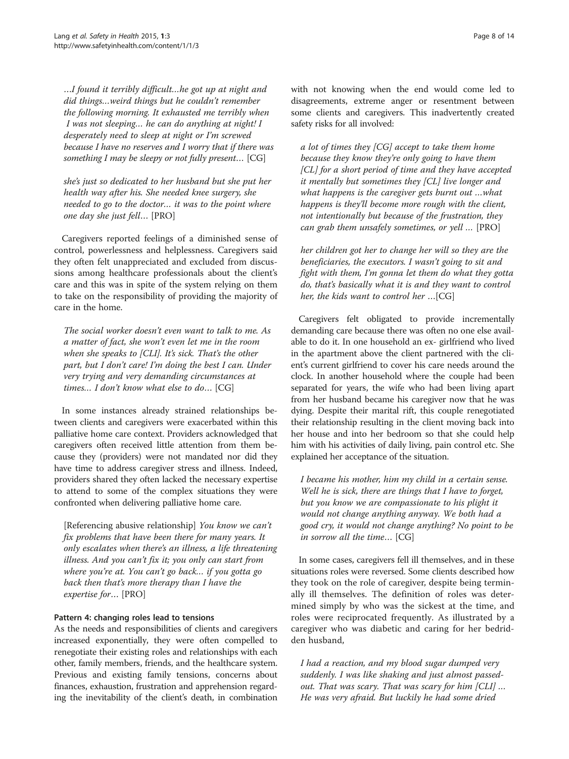…I found it terribly difficult…he got up at night and did things…weird things but he couldn't remember the following morning. It exhausted me terribly when I was not sleeping… he can do anything at night! I desperately need to sleep at night or I'm screwed because I have no reserves and I worry that if there was something I may be sleepy or not fully present... [CG]

she's just so dedicated to her husband but she put her health way after his. She needed knee surgery, she needed to go to the doctor… it was to the point where one day she just fell… [PRO]

Caregivers reported feelings of a diminished sense of control, powerlessness and helplessness. Caregivers said they often felt unappreciated and excluded from discussions among healthcare professionals about the client's care and this was in spite of the system relying on them to take on the responsibility of providing the majority of care in the home.

The social worker doesn't even want to talk to me. As a matter of fact, she won't even let me in the room when she speaks to [CLI]. It's sick. That's the other part, but I don't care! I'm doing the best I can. Under very trying and very demanding circumstances at times… I don't know what else to do… [CG]

In some instances already strained relationships between clients and caregivers were exacerbated within this palliative home care context. Providers acknowledged that caregivers often received little attention from them because they (providers) were not mandated nor did they have time to address caregiver stress and illness. Indeed, providers shared they often lacked the necessary expertise to attend to some of the complex situations they were confronted when delivering palliative home care.

[Referencing abusive relationship] You know we can't fix problems that have been there for many years. It only escalates when there's an illness, a life threatening illness. And you can't fix it; you only can start from where you're at. You can't go back… if you gotta go back then that's more therapy than I have the expertise for… [PRO]

## Pattern 4: changing roles lead to tensions

As the needs and responsibilities of clients and caregivers increased exponentially, they were often compelled to renegotiate their existing roles and relationships with each other, family members, friends, and the healthcare system. Previous and existing family tensions, concerns about finances, exhaustion, frustration and apprehension regarding the inevitability of the client's death, in combination with not knowing when the end would come led to disagreements, extreme anger or resentment between some clients and caregivers. This inadvertently created safety risks for all involved:

a lot of times they [CG] accept to take them home because they know they're only going to have them [CL] for a short period of time and they have accepted it mentally but sometimes they [CL] live longer and what happens is the caregiver gets burnt out …what happens is they'll become more rough with the client, not intentionally but because of the frustration, they can grab them unsafely sometimes, or yell … [PRO]

her children got her to change her will so they are the beneficiaries, the executors. I wasn't going to sit and fight with them, I'm gonna let them do what they gotta do, that's basically what it is and they want to control her, the kids want to control her …[CG]

Caregivers felt obligated to provide incrementally demanding care because there was often no one else available to do it. In one household an ex- girlfriend who lived in the apartment above the client partnered with the client's current girlfriend to cover his care needs around the clock. In another household where the couple had been separated for years, the wife who had been living apart from her husband became his caregiver now that he was dying. Despite their marital rift, this couple renegotiated their relationship resulting in the client moving back into her house and into her bedroom so that she could help him with his activities of daily living, pain control etc. She explained her acceptance of the situation.

I became his mother, him my child in a certain sense. Well he is sick, there are things that I have to forget, but you know we are compassionate to his plight it would not change anything anyway. We both had a good cry, it would not change anything? No point to be in sorrow all the time… [CG]

In some cases, caregivers fell ill themselves, and in these situations roles were reversed. Some clients described how they took on the role of caregiver, despite being terminally ill themselves. The definition of roles was determined simply by who was the sickest at the time, and roles were reciprocated frequently. As illustrated by a caregiver who was diabetic and caring for her bedridden husband,

I had a reaction, and my blood sugar dumped very suddenly. I was like shaking and just almost passedout. That was scary. That was scary for him [CLI] … He was very afraid. But luckily he had some dried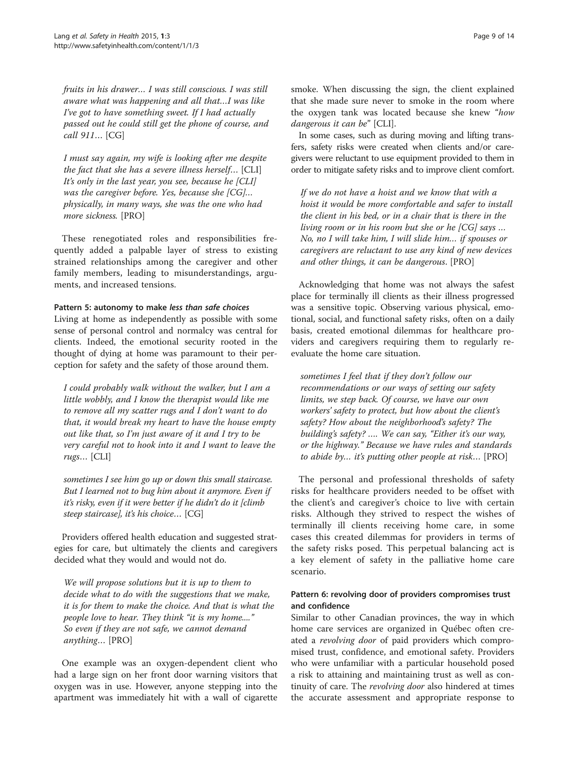fruits in his drawer… I was still conscious. I was still aware what was happening and all that…I was like I've got to have something sweet. If I had actually passed out he could still get the phone of course, and call 911… [CG]

I must say again, my wife is looking after me despite the fact that she has a severe illness herself… [CLI] It's only in the last year, you see, because he  $|CLI|$ was the caregiver before. Yes, because she [CG]... physically, in many ways, she was the one who had more sickness. [PRO]

These renegotiated roles and responsibilities frequently added a palpable layer of stress to existing strained relationships among the caregiver and other family members, leading to misunderstandings, arguments, and increased tensions.

#### Pattern 5: autonomy to make less than safe choices

Living at home as independently as possible with some sense of personal control and normalcy was central for clients. Indeed, the emotional security rooted in the thought of dying at home was paramount to their perception for safety and the safety of those around them.

I could probably walk without the walker, but I am a little wobbly, and I know the therapist would like me to remove all my scatter rugs and I don't want to do that, it would break my heart to have the house empty out like that, so I'm just aware of it and I try to be very careful not to hook into it and I want to leave the rugs… [CLI]

sometimes I see him go up or down this small staircase. But I learned not to bug him about it anymore. Even if it's risky, even if it were better if he didn't do it [climb steep staircase], it's his choice… [CG]

Providers offered health education and suggested strategies for care, but ultimately the clients and caregivers decided what they would and would not do.

We will propose solutions but it is up to them to decide what to do with the suggestions that we make, it is for them to make the choice. And that is what the people love to hear. They think "it is my home...." So even if they are not safe, we cannot demand anything… [PRO]

One example was an oxygen-dependent client who had a large sign on her front door warning visitors that oxygen was in use. However, anyone stepping into the apartment was immediately hit with a wall of cigarette smoke. When discussing the sign, the client explained that she made sure never to smoke in the room where the oxygen tank was located because she knew "how dangerous it can be" [CLI].

In some cases, such as during moving and lifting transfers, safety risks were created when clients and/or caregivers were reluctant to use equipment provided to them in order to mitigate safety risks and to improve client comfort.

If we do not have a hoist and we know that with a hoist it would be more comfortable and safer to install the client in his bed, or in a chair that is there in the living room or in his room but she or he [CG] says … No, no I will take him, I will slide him… if spouses or caregivers are reluctant to use any kind of new devices and other things, it can be dangerous. [PRO]

Acknowledging that home was not always the safest place for terminally ill clients as their illness progressed was a sensitive topic. Observing various physical, emotional, social, and functional safety risks, often on a daily basis, created emotional dilemmas for healthcare providers and caregivers requiring them to regularly reevaluate the home care situation.

sometimes I feel that if they don't follow our recommendations or our ways of setting our safety limits, we step back. Of course, we have our own workers' safety to protect, but how about the client's safety? How about the neighborhood's safety? The building's safety? …. We can say, "Either it's our way, or the highway." Because we have rules and standards to abide by… it's putting other people at risk… [PRO]

The personal and professional thresholds of safety risks for healthcare providers needed to be offset with the client's and caregiver's choice to live with certain risks. Although they strived to respect the wishes of terminally ill clients receiving home care, in some cases this created dilemmas for providers in terms of the safety risks posed. This perpetual balancing act is a key element of safety in the palliative home care scenario.

## Pattern 6: revolving door of providers compromises trust and confidence

Similar to other Canadian provinces, the way in which home care services are organized in Québec often created a revolving door of paid providers which compromised trust, confidence, and emotional safety. Providers who were unfamiliar with a particular household posed a risk to attaining and maintaining trust as well as continuity of care. The *revolving door* also hindered at times the accurate assessment and appropriate response to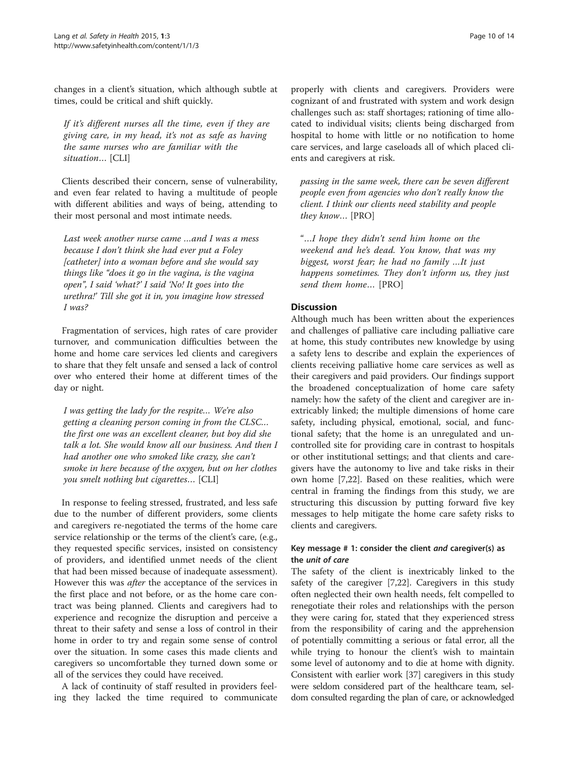changes in a client's situation, which although subtle at times, could be critical and shift quickly.

If it's different nurses all the time, even if they are giving care, in my head, it's not as safe as having the same nurses who are familiar with the situation… [CLI]

Clients described their concern, sense of vulnerability, and even fear related to having a multitude of people with different abilities and ways of being, attending to their most personal and most intimate needs.

Last week another nurse came …and I was a mess because I don't think she had ever put a Foley [catheter] into a woman before and she would say things like "does it go in the vagina, is the vagina open", I said 'what?' I said 'No! It goes into the urethra!' Till she got it in, you imagine how stressed I was?

Fragmentation of services, high rates of care provider turnover, and communication difficulties between the home and home care services led clients and caregivers to share that they felt unsafe and sensed a lack of control over who entered their home at different times of the day or night.

I was getting the lady for the respite… We're also getting a cleaning person coming in from the CLSC… the first one was an excellent cleaner, but boy did she talk a lot. She would know all our business. And then I had another one who smoked like crazy, she can't smoke in here because of the oxygen, but on her clothes you smelt nothing but cigarettes… [CLI]

In response to feeling stressed, frustrated, and less safe due to the number of different providers, some clients and caregivers re-negotiated the terms of the home care service relationship or the terms of the client's care, (e.g., they requested specific services, insisted on consistency of providers, and identified unmet needs of the client that had been missed because of inadequate assessment). However this was *after* the acceptance of the services in the first place and not before, or as the home care contract was being planned. Clients and caregivers had to experience and recognize the disruption and perceive a threat to their safety and sense a loss of control in their home in order to try and regain some sense of control over the situation. In some cases this made clients and caregivers so uncomfortable they turned down some or all of the services they could have received.

A lack of continuity of staff resulted in providers feeling they lacked the time required to communicate

properly with clients and caregivers. Providers were cognizant of and frustrated with system and work design challenges such as: staff shortages; rationing of time allocated to individual visits; clients being discharged from hospital to home with little or no notification to home care services, and large caseloads all of which placed clients and caregivers at risk.

passing in the same week, there can be seven different people even from agencies who don't really know the client. I think our clients need stability and people they know… [PRO]

"…I hope they didn't send him home on the weekend and he's dead. You know, that was my biggest, worst fear; he had no family …It just happens sometimes. They don't inform us, they just send them home… [PRO]

#### Discussion

Although much has been written about the experiences and challenges of palliative care including palliative care at home, this study contributes new knowledge by using a safety lens to describe and explain the experiences of clients receiving palliative home care services as well as their caregivers and paid providers. Our findings support the broadened conceptualization of home care safety namely: how the safety of the client and caregiver are inextricably linked; the multiple dimensions of home care safety, including physical, emotional, social, and functional safety; that the home is an unregulated and uncontrolled site for providing care in contrast to hospitals or other institutional settings; and that clients and caregivers have the autonomy to live and take risks in their own home [\[7](#page-12-0)[,22\]](#page-13-0). Based on these realities, which were central in framing the findings from this study, we are structuring this discussion by putting forward five key messages to help mitigate the home care safety risks to clients and caregivers.

## Key message # 1: consider the client and caregiver(s) as the unit of care

The safety of the client is inextricably linked to the safety of the caregiver [[7,](#page-12-0)[22\]](#page-13-0). Caregivers in this study often neglected their own health needs, felt compelled to renegotiate their roles and relationships with the person they were caring for, stated that they experienced stress from the responsibility of caring and the apprehension of potentially committing a serious or fatal error, all the while trying to honour the client's wish to maintain some level of autonomy and to die at home with dignity. Consistent with earlier work [[37\]](#page-13-0) caregivers in this study were seldom considered part of the healthcare team, seldom consulted regarding the plan of care, or acknowledged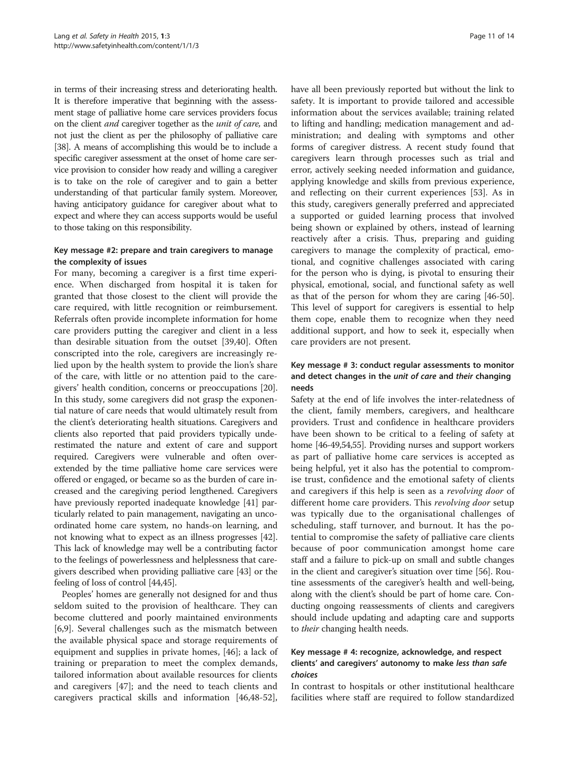in terms of their increasing stress and deteriorating health. It is therefore imperative that beginning with the assessment stage of palliative home care services providers focus on the client *and* caregiver together as the *unit of care*, and not just the client as per the philosophy of palliative care [[38](#page-13-0)]. A means of accomplishing this would be to include a specific caregiver assessment at the onset of home care service provision to consider how ready and willing a caregiver is to take on the role of caregiver and to gain a better understanding of that particular family system. Moreover, having anticipatory guidance for caregiver about what to expect and where they can access supports would be useful to those taking on this responsibility.

## Key message #2: prepare and train caregivers to manage the complexity of issues

For many, becoming a caregiver is a first time experience. When discharged from hospital it is taken for granted that those closest to the client will provide the care required, with little recognition or reimbursement. Referrals often provide incomplete information for home care providers putting the caregiver and client in a less than desirable situation from the outset [\[39,40](#page-13-0)]. Often conscripted into the role, caregivers are increasingly relied upon by the health system to provide the lion's share of the care, with little or no attention paid to the caregivers' health condition, concerns or preoccupations [[20](#page-13-0)]. In this study, some caregivers did not grasp the exponential nature of care needs that would ultimately result from the client's deteriorating health situations. Caregivers and clients also reported that paid providers typically underestimated the nature and extent of care and support required. Caregivers were vulnerable and often overextended by the time palliative home care services were offered or engaged, or became so as the burden of care increased and the caregiving period lengthened. Caregivers have previously reported inadequate knowledge [[41](#page-13-0)] particularly related to pain management, navigating an uncoordinated home care system, no hands-on learning, and not knowing what to expect as an illness progresses [[42](#page-13-0)]. This lack of knowledge may well be a contributing factor to the feelings of powerlessness and helplessness that caregivers described when providing palliative care [[43](#page-13-0)] or the feeling of loss of control [[44,45\]](#page-13-0).

Peoples' homes are generally not designed for and thus seldom suited to the provision of healthcare. They can become cluttered and poorly maintained environments [[6,9\]](#page-12-0). Several challenges such as the mismatch between the available physical space and storage requirements of equipment and supplies in private homes, [[46\]](#page-13-0); a lack of training or preparation to meet the complex demands, tailored information about available resources for clients and caregivers [[47](#page-13-0)]; and the need to teach clients and caregivers practical skills and information [\[46,48-52](#page-13-0)],

have all been previously reported but without the link to safety. It is important to provide tailored and accessible information about the services available; training related to lifting and handling; medication management and administration; and dealing with symptoms and other forms of caregiver distress. A recent study found that caregivers learn through processes such as trial and error, actively seeking needed information and guidance, applying knowledge and skills from previous experience, and reflecting on their current experiences [[53](#page-13-0)]. As in this study, caregivers generally preferred and appreciated a supported or guided learning process that involved being shown or explained by others, instead of learning reactively after a crisis. Thus, preparing and guiding caregivers to manage the complexity of practical, emotional, and cognitive challenges associated with caring for the person who is dying, is pivotal to ensuring their physical, emotional, social, and functional safety as well as that of the person for whom they are caring [\[46-50](#page-13-0)]. This level of support for caregivers is essential to help them cope, enable them to recognize when they need additional support, and how to seek it, especially when care providers are not present.

## Key message # 3: conduct regular assessments to monitor and detect changes in the unit of care and their changing needs

Safety at the end of life involves the inter-relatedness of the client, family members, caregivers, and healthcare providers. Trust and confidence in healthcare providers have been shown to be critical to a feeling of safety at home [\[46-49,54,55](#page-13-0)]. Providing nurses and support workers as part of palliative home care services is accepted as being helpful, yet it also has the potential to compromise trust, confidence and the emotional safety of clients and caregivers if this help is seen as a revolving door of different home care providers. This *revolving door* setup was typically due to the organisational challenges of scheduling, staff turnover, and burnout. It has the potential to compromise the safety of palliative care clients because of poor communication amongst home care staff and a failure to pick-up on small and subtle changes in the client and caregiver's situation over time [[56\]](#page-13-0). Routine assessments of the caregiver's health and well-being, along with the client's should be part of home care. Conducting ongoing reassessments of clients and caregivers should include updating and adapting care and supports to *their* changing health needs.

## Key message # 4: recognize, acknowledge, and respect clients' and caregivers' autonomy to make less than safe choices

In contrast to hospitals or other institutional healthcare facilities where staff are required to follow standardized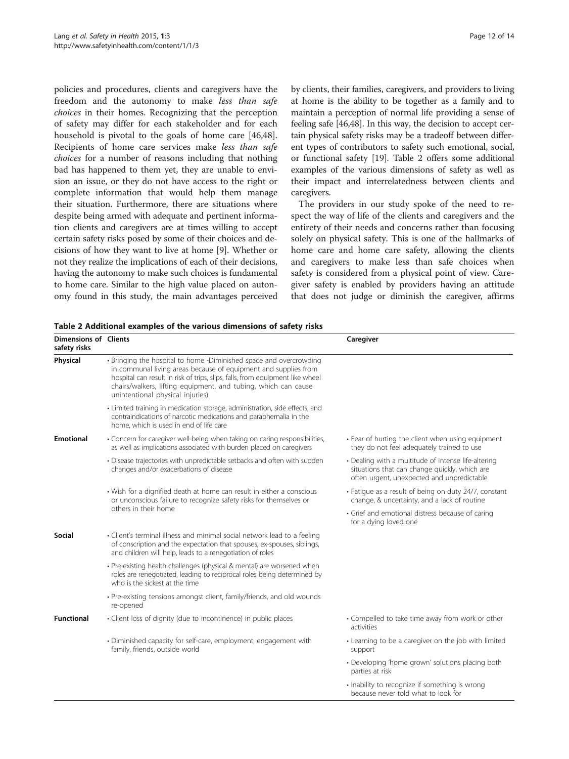policies and procedures, clients and caregivers have the freedom and the autonomy to make less than safe choices in their homes. Recognizing that the perception of safety may differ for each stakeholder and for each household is pivotal to the goals of home care [\[46,48](#page-13-0)]. Recipients of home care services make less than safe choices for a number of reasons including that nothing bad has happened to them yet, they are unable to envision an issue, or they do not have access to the right or complete information that would help them manage their situation. Furthermore, there are situations where despite being armed with adequate and pertinent information clients and caregivers are at times willing to accept certain safety risks posed by some of their choices and decisions of how they want to live at home [[9\]](#page-12-0). Whether or not they realize the implications of each of their decisions, having the autonomy to make such choices is fundamental to home care. Similar to the high value placed on autonomy found in this study, the main advantages perceived by clients, their families, caregivers, and providers to living at home is the ability to be together as a family and to maintain a perception of normal life providing a sense of feeling safe [[46,48](#page-13-0)]. In this way, the decision to accept certain physical safety risks may be a tradeoff between different types of contributors to safety such emotional, social, or functional safety [\[19](#page-13-0)]. Table 2 offers some additional examples of the various dimensions of safety as well as their impact and interrelatedness between clients and caregivers.

The providers in our study spoke of the need to respect the way of life of the clients and caregivers and the entirety of their needs and concerns rather than focusing solely on physical safety. This is one of the hallmarks of home care and home care safety, allowing the clients and caregivers to make less than safe choices when safety is considered from a physical point of view. Caregiver safety is enabled by providers having an attitude that does not judge or diminish the caregiver, affirms

Table 2 Additional examples of the various dimensions of safety risks

| <b>Dimensions of Clients</b><br>safety risks |                                                                                                                                                                                                                                                                                                                              | Caregiver                                                                                                                                          |
|----------------------------------------------|------------------------------------------------------------------------------------------------------------------------------------------------------------------------------------------------------------------------------------------------------------------------------------------------------------------------------|----------------------------------------------------------------------------------------------------------------------------------------------------|
| Physical                                     | • Bringing the hospital to home -Diminished space and overcrowding<br>in communal living areas because of equipment and supplies from<br>hospital can result in risk of trips, slips, falls, from equipment like wheel<br>chairs/walkers, lifting equipment, and tubing, which can cause<br>unintentional physical injuries) |                                                                                                                                                    |
|                                              | • Limited training in medication storage, administration, side effects, and<br>contraindications of narcotic medications and paraphernalia in the<br>home, which is used in end of life care                                                                                                                                 |                                                                                                                                                    |
| <b>Emotional</b>                             | • Concern for caregiver well-being when taking on caring responsibilities,<br>as well as implications associated with burden placed on caregivers                                                                                                                                                                            | • Fear of hurting the client when using equipment<br>they do not feel adequately trained to use                                                    |
|                                              | • Disease trajectories with unpredictable setbacks and often with sudden<br>changes and/or exacerbations of disease                                                                                                                                                                                                          | • Dealing with a multitude of intense life-altering<br>situations that can change quickly, which are<br>often urgent, unexpected and unpredictable |
|                                              | • Wish for a dignified death at home can result in either a conscious<br>or unconscious failure to recognize safety risks for themselves or                                                                                                                                                                                  | • Fatique as a result of being on duty 24/7, constant<br>change, & uncertainty, and a lack of routine                                              |
|                                              | others in their home                                                                                                                                                                                                                                                                                                         | • Grief and emotional distress because of caring<br>for a dying loved one                                                                          |
| Social                                       | • Client's terminal illness and minimal social network lead to a feeling<br>of conscription and the expectation that spouses, ex-spouses, siblings,<br>and children will help, leads to a renegotiation of roles                                                                                                             |                                                                                                                                                    |
|                                              | • Pre-existing health challenges (physical & mental) are worsened when<br>roles are renegotiated, leading to reciprocal roles being determined by<br>who is the sickest at the time                                                                                                                                          |                                                                                                                                                    |
|                                              | • Pre-existing tensions amongst client, family/friends, and old wounds<br>re-opened                                                                                                                                                                                                                                          |                                                                                                                                                    |
| <b>Functional</b>                            | • Client loss of dignity (due to incontinence) in public places                                                                                                                                                                                                                                                              | • Compelled to take time away from work or other<br>activities                                                                                     |
|                                              | • Diminished capacity for self-care, employment, engagement with<br>family, friends, outside world                                                                                                                                                                                                                           | • Learning to be a caregiver on the job with limited<br>support                                                                                    |
|                                              |                                                                                                                                                                                                                                                                                                                              | • Developing 'home grown' solutions placing both<br>parties at risk                                                                                |
|                                              |                                                                                                                                                                                                                                                                                                                              | · Inability to recognize if something is wrong<br>because never told what to look for                                                              |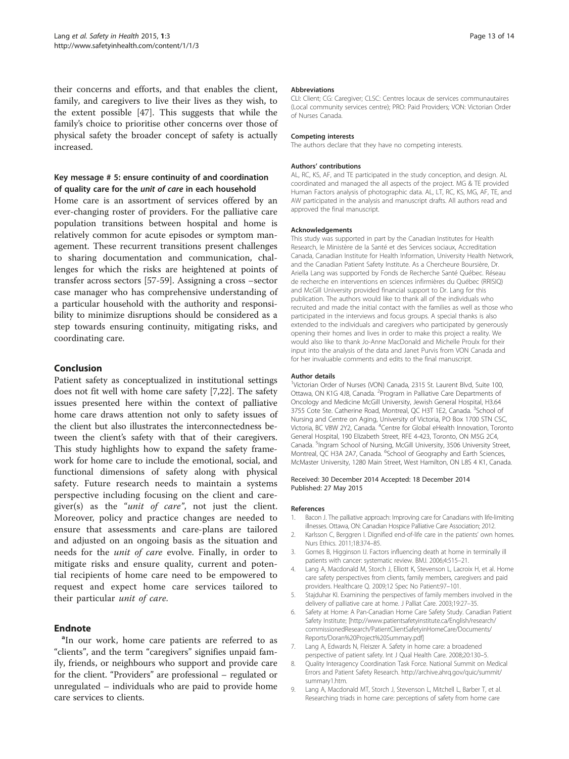<span id="page-12-0"></span>their concerns and efforts, and that enables the client, family, and caregivers to live their lives as they wish, to the extent possible [\[47](#page-13-0)]. This suggests that while the family's choice to prioritise other concerns over those of physical safety the broader concept of safety is actually increased.

## Key message # 5: ensure continuity of and coordination of quality care for the unit of care in each household

Home care is an assortment of services offered by an ever-changing roster of providers. For the palliative care population transitions between hospital and home is relatively common for acute episodes or symptom management. These recurrent transitions present challenges to sharing documentation and communication, challenges for which the risks are heightened at points of transfer across sectors [\[57-59](#page-13-0)]. Assigning a cross –sector case manager who has comprehensive understanding of a particular household with the authority and responsibility to minimize disruptions should be considered as a step towards ensuring continuity, mitigating risks, and coordinating care.

#### Conclusion

Patient safety as conceptualized in institutional settings does not fit well with home care safety [7,[22\]](#page-13-0). The safety issues presented here within the context of palliative home care draws attention not only to safety issues of the client but also illustrates the interconnectedness between the client's safety with that of their caregivers. This study highlights how to expand the safety framework for home care to include the emotional, social, and functional dimensions of safety along with physical safety. Future research needs to maintain a systems perspective including focusing on the client and caregiver(s) as the "*unit of care*", not just the client. Moreover, policy and practice changes are needed to ensure that assessments and care-plans are tailored and adjusted on an ongoing basis as the situation and needs for the unit of care evolve. Finally, in order to mitigate risks and ensure quality, current and potential recipients of home care need to be empowered to request and expect home care services tailored to their particular unit of care.

#### **Endnote**

<sup>a</sup>In our work, home care patients are referred to as "clients", and the term "caregivers" signifies unpaid family, friends, or neighbours who support and provide care for the client. "Providers" are professional – regulated or unregulated – individuals who are paid to provide home care services to clients.

#### **Abbreviations**

CLI: Client; CG: Caregiver; CLSC: Centres locaux de services communautaires (Local community services centre); PRO: Paid Providers; VON: Victorian Order of Nurses Canada.

#### Competing interests

The authors declare that they have no competing interests.

#### Authors' contributions

AL, RC, KS, AF, and TE participated in the study conception, and design. AL coordinated and managed the all aspects of the project. MG & TE provided Human Factors analysis of photographic data. AL, LT, RC, KS, MG, AF, TE, and AW participated in the analysis and manuscript drafts. All authors read and approved the final manuscript.

#### Acknowledgements

This study was supported in part by the Canadian Institutes for Health Research, le Ministère de la Santé et des Services sociaux, Accreditation Canada, Canadian Institute for Health Information, University Health Network, and the Canadian Patient Safety Institute. As a Chercheure Boursière, Dr. Ariella Lang was supported by Fonds de Recherche Santé Québec. Réseau de recherche en interventions en sciences infirmières du Québec (RRISIQ) and McGill University provided financial support to Dr. Lang for this publication. The authors would like to thank all of the individuals who recruited and made the initial contact with the families as well as those who participated in the interviews and focus groups. A special thanks is also extended to the individuals and caregivers who participated by generously opening their homes and lives in order to make this project a reality. We would also like to thank Jo-Anne MacDonald and Michelle Proulx for their input into the analysis of the data and Janet Purvis from VON Canada and for her invaluable comments and edits to the final manuscript.

#### Author details

<sup>1</sup>Victorian Order of Nurses (VON) Canada, 2315 St. Laurent Blvd, Suite 100 Ottawa, ON K1G 4J8, Canada. <sup>2</sup> Program in Palliative Care Departments of Oncology and Medicine McGill University, Jewish General Hospital, H3.64 3755 Cote Ste. Catherine Road, Montreal, QC H3T 1E2, Canada. <sup>3</sup>School of Nursing and Centre on Aging, University of Victoria, PO Box 1700 STN CSC, Victoria, BC V8W 2Y2, Canada. <sup>4</sup>Centre for Global eHealth Innovation, Toronto General Hospital, 190 Elizabeth Street, RFE 4-423, Toronto, ON M5G 2C4, Canada. <sup>5</sup>Ingram School of Nursing, McGill University, 3506 University Street Montreal, QC H3A 2A7, Canada. <sup>6</sup>School of Geography and Earth Sciences, McMaster University, 1280 Main Street, West Hamilton, ON L8S 4 K1, Canada.

#### Received: 30 December 2014 Accepted: 18 December 2014 Published: 27 May 2015

#### References

- 1. Bacon J. The palliative approach: Improving care for Canadians with life-limiting illnesses. Ottawa, ON: Canadian Hospice Palliative Care Association; 2012.
- 2. Karlsson C, Berggren I. Dignified end-of-life care in the patients' own homes. Nurs Ethics. 2011;18:374–85.
- 3. Gomes B, Higginson IJ. Factors influencing death at home in terminally ill patients with cancer: systematic review. BMJ. 2006;4:515–21.
- 4. Lang A, Macdonald M, Storch J, Elliott K, Stevenson L, Lacroix H, et al. Home care safety perspectives from clients, family members, caregivers and paid providers. Healthcare Q. 2009;12 Spec No Patient:97–101.
- 5. Stajduhar KI. Examining the perspectives of family members involved in the delivery of palliative care at home. J Palliat Care. 2003;19:27–35.
- 6. Safety at Home: A Pan-Canadian Home Care Safety Study. Canadian Patient Safety Institute; [[http://www.patientsafetyinstitute.ca/English/research/](http://www.patientsafetyinstitute.ca/English/research/commissionedResearch/PatientClientSafetyinHomeCare/Documents/Reports/Doran%20Project%20Summary.pdf) [commissionedResearch/PatientClientSafetyinHomeCare/Documents/](http://www.patientsafetyinstitute.ca/English/research/commissionedResearch/PatientClientSafetyinHomeCare/Documents/Reports/Doran%20Project%20Summary.pdf) [Reports/Doran%20Project%20Summary.pdf](http://www.patientsafetyinstitute.ca/English/research/commissionedResearch/PatientClientSafetyinHomeCare/Documents/Reports/Doran%20Project%20Summary.pdf)]
- 7. Lang A, Edwards N, Fleiszer A. Safety in home care: a broadened perspective of patient safety. Int J Qual Health Care. 2008;20:130–5.
- 8. Quality Interagency Coordination Task Force. National Summit on Medical Errors and Patient Safety Research. [http://archive.ahrq.gov/quic/summit/](http://archive.ahrq.gov/quic/summit/summary1.htm) [summary1.htm](http://archive.ahrq.gov/quic/summit/summary1.htm).
- 9. Lang A, Macdonald MT, Storch J, Stevenson L, Mitchell L, Barber T, et al. Researching triads in home care: perceptions of safety from home care